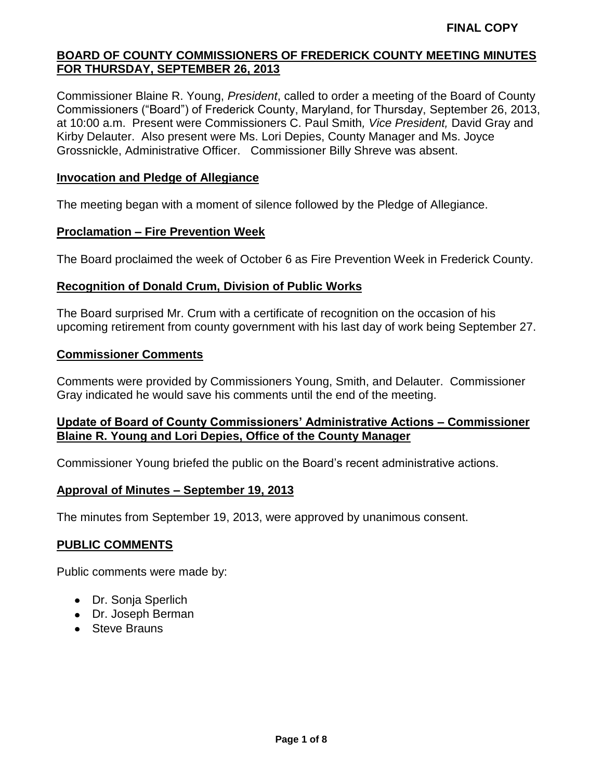Commissioner Blaine R. Young, *President*, called to order a meeting of the Board of County Commissioners ("Board") of Frederick County, Maryland, for Thursday, September 26, 2013, at 10:00 a.m. Present were Commissioners C. Paul Smith*, Vice President,* David Gray and Kirby Delauter. Also present were Ms. Lori Depies, County Manager and Ms. Joyce Grossnickle, Administrative Officer. Commissioner Billy Shreve was absent.

#### **Invocation and Pledge of Allegiance**

The meeting began with a moment of silence followed by the Pledge of Allegiance.

#### **Proclamation – Fire Prevention Week**

The Board proclaimed the week of October 6 as Fire Prevention Week in Frederick County.

#### **Recognition of Donald Crum, Division of Public Works**

The Board surprised Mr. Crum with a certificate of recognition on the occasion of his upcoming retirement from county government with his last day of work being September 27.

#### **Commissioner Comments**

Comments were provided by Commissioners Young, Smith, and Delauter. Commissioner Gray indicated he would save his comments until the end of the meeting.

#### **Update of Board of County Commissioners' Administrative Actions – Commissioner Blaine R. Young and Lori Depies, Office of the County Manager**

Commissioner Young briefed the public on the Board's recent administrative actions.

#### **Approval of Minutes – September 19, 2013**

The minutes from September 19, 2013, were approved by unanimous consent.

#### **PUBLIC COMMENTS**

Public comments were made by:

- Dr. Sonja Sperlich
- Dr. Joseph Berman
- Steve Brauns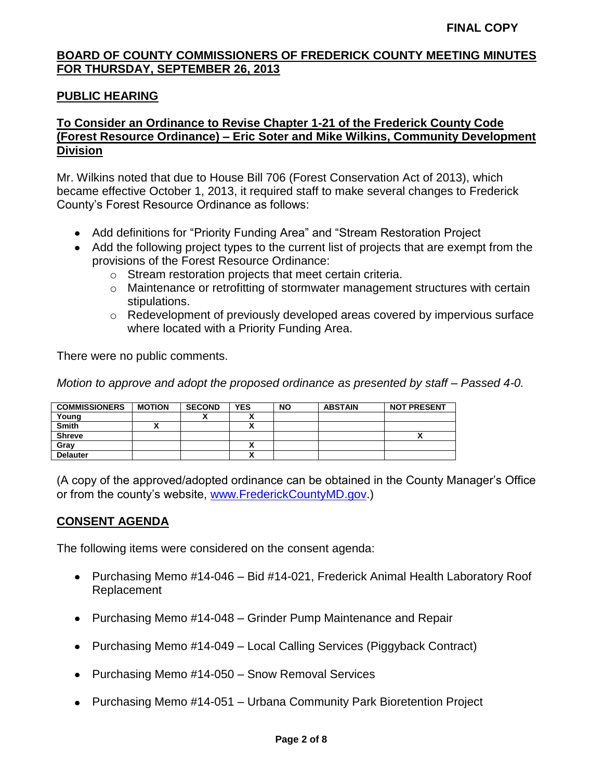# **PUBLIC HEARING**

# **To Consider an Ordinance to Revise Chapter 1-21 of the Frederick County Code (Forest Resource Ordinance) – Eric Soter and Mike Wilkins, Community Development Division**

Mr. Wilkins noted that due to House Bill 706 (Forest Conservation Act of 2013), which became effective October 1, 2013, it required staff to make several changes to Frederick County's Forest Resource Ordinance as follows:

- Add definitions for "Priority Funding Area" and "Stream Restoration Project
- Add the following project types to the current list of projects that are exempt from the provisions of the Forest Resource Ordinance:
	- o Stream restoration projects that meet certain criteria.
	- o Maintenance or retrofitting of stormwater management structures with certain stipulations.
	- $\circ$  Redevelopment of previously developed areas covered by impervious surface where located with a Priority Funding Area.

There were no public comments.

*Motion to approve and adopt the proposed ordinance as presented by staff – Passed 4-0.*

| <b>COMMISSIONERS</b> | <b>MOTION</b> | <b>SECOND</b> | <b>YES</b>                | <b>NO</b> | <b>ABSTAIN</b> | <b>NOT PRESENT</b> |
|----------------------|---------------|---------------|---------------------------|-----------|----------------|--------------------|
| Young                |               |               | $\ddot{\phantom{1}}$<br>  |           |                |                    |
| <b>Smith</b>         |               |               | Λ                         |           |                |                    |
| <b>Shreve</b>        |               |               |                           |           |                |                    |
| Grav                 |               |               | ٠.                        |           |                |                    |
| <b>Delauter</b>      |               |               | $\ddot{\phantom{1}}$<br>^ |           |                |                    |

(A copy of the approved/adopted ordinance can be obtained in the County Manager's Office or from the county's website, [www.FrederickCountyMD.gov.](http://www.frederickcountymd.gov/))

#### **CONSENT AGENDA**

The following items were considered on the consent agenda:

- Purchasing Memo #14-046 Bid #14-021, Frederick Animal Health Laboratory Roof Replacement
- Purchasing Memo #14-048 Grinder Pump Maintenance and Repair
- Purchasing Memo #14-049 Local Calling Services (Piggyback Contract)
- Purchasing Memo #14-050 Snow Removal Services
- Purchasing Memo #14-051 Urbana Community Park Bioretention Project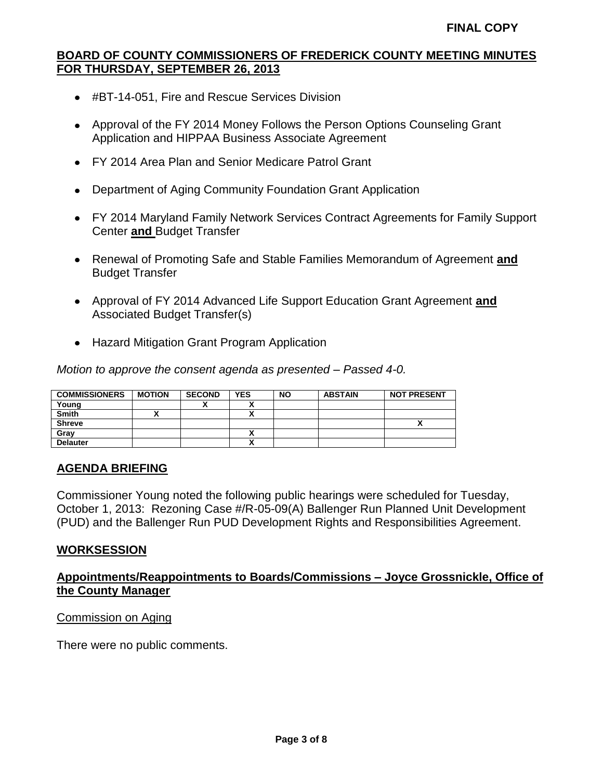- #BT-14-051, Fire and Rescue Services Division
- Approval of the FY 2014 Money Follows the Person Options Counseling Grant Application and HIPPAA Business Associate Agreement
- FY 2014 Area Plan and Senior Medicare Patrol Grant
- Department of Aging Community Foundation Grant Application
- FY 2014 Maryland Family Network Services Contract Agreements for Family Support Center **and** Budget Transfer
- Renewal of Promoting Safe and Stable Families Memorandum of Agreement **and** Budget Transfer
- Approval of FY 2014 Advanced Life Support Education Grant Agreement **and** Associated Budget Transfer(s)
- Hazard Mitigation Grant Program Application

*Motion to approve the consent agenda as presented – Passed 4-0.*

| <b>COMMISSIONERS</b> | <b>MOTION</b> | <b>SECOND</b> | <b>YES</b> | <b>NO</b> | <b>ABSTAIN</b> | <b>NOT PRESENT</b> |
|----------------------|---------------|---------------|------------|-----------|----------------|--------------------|
| Young                |               |               |            |           |                |                    |
| <b>Smith</b>         |               |               | Δ          |           |                |                    |
| <b>Shreve</b>        |               |               |            |           |                | Λ                  |
| Gray                 |               |               |            |           |                |                    |
| <b>Delauter</b>      |               |               | ^          |           |                |                    |

# **AGENDA BRIEFING**

Commissioner Young noted the following public hearings were scheduled for Tuesday, October 1, 2013: Rezoning Case #/R-05-09(A) Ballenger Run Planned Unit Development (PUD) and the Ballenger Run PUD Development Rights and Responsibilities Agreement.

# **WORKSESSION**

# **Appointments/Reappointments to Boards/Commissions – Joyce Grossnickle, Office of the County Manager**

Commission on Aging

There were no public comments.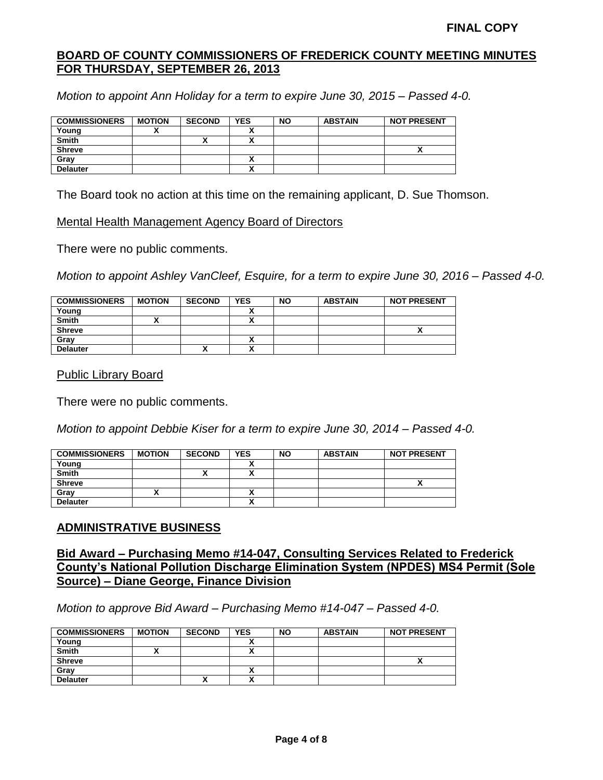*Motion to appoint Ann Holiday for a term to expire June 30, 2015 – Passed 4-0.*

| <b>COMMISSIONERS</b> | <b>MOTION</b> | <b>SECOND</b> | <b>YES</b> | <b>NO</b> | <b>ABSTAIN</b> | <b>NOT PRESENT</b> |
|----------------------|---------------|---------------|------------|-----------|----------------|--------------------|
| Young                |               |               |            |           |                |                    |
| <b>Smith</b>         |               |               |            |           |                |                    |
| <b>Shreve</b>        |               |               |            |           |                |                    |
| Gray                 |               |               |            |           |                |                    |
| <b>Delauter</b>      |               |               |            |           |                |                    |

The Board took no action at this time on the remaining applicant, D. Sue Thomson.

Mental Health Management Agency Board of Directors

There were no public comments.

*Motion to appoint Ashley VanCleef, Esquire, for a term to expire June 30, 2016 – Passed 4-0.*

| <b>COMMISSIONERS</b> | <b>MOTION</b> | <b>SECOND</b> | <b>YES</b> | <b>NO</b> | <b>ABSTAIN</b> | <b>NOT PRESENT</b> |
|----------------------|---------------|---------------|------------|-----------|----------------|--------------------|
| Young                |               |               |            |           |                |                    |
| <b>Smith</b>         |               |               |            |           |                |                    |
| <b>Shreve</b>        |               |               |            |           |                |                    |
| Gray                 |               |               |            |           |                |                    |
| <b>Delauter</b>      |               | ́             |            |           |                |                    |

Public Library Board

There were no public comments.

*Motion to appoint Debbie Kiser for a term to expire June 30, 2014 – Passed 4-0.*

| <b>COMMISSIONERS</b> | <b>MOTION</b> | <b>SECOND</b> | <b>YES</b> | <b>NO</b> | <b>ABSTAIN</b> | <b>NOT PRESENT</b> |
|----------------------|---------------|---------------|------------|-----------|----------------|--------------------|
| Young                |               |               |            |           |                |                    |
| Smith                |               | '             | ^          |           |                |                    |
| <b>Shreve</b>        |               |               |            |           |                |                    |
| Gray                 |               |               |            |           |                |                    |
| <b>Delauter</b>      |               |               | `<br>^     |           |                |                    |

# **ADMINISTRATIVE BUSINESS**

**Bid Award – Purchasing Memo #14-047, Consulting Services Related to Frederick County's National Pollution Discharge Elimination System (NPDES) MS4 Permit (Sole Source) – Diane George, Finance Division**

*Motion to approve Bid Award – Purchasing Memo #14-047 – Passed 4-0.*

| <b>COMMISSIONERS</b> | <b>MOTION</b> | <b>SECOND</b> | <b>YES</b>   | <b>NO</b> | <b>ABSTAIN</b> | <b>NOT PRESENT</b> |
|----------------------|---------------|---------------|--------------|-----------|----------------|--------------------|
| Young                |               |               |              |           |                |                    |
| <b>Smith</b>         |               |               |              |           |                |                    |
| <b>Shreve</b>        |               |               |              |           |                |                    |
| Grav                 |               |               | n            |           |                |                    |
| <b>Delauter</b>      |               | ↗             | $\mathbf{v}$ |           |                |                    |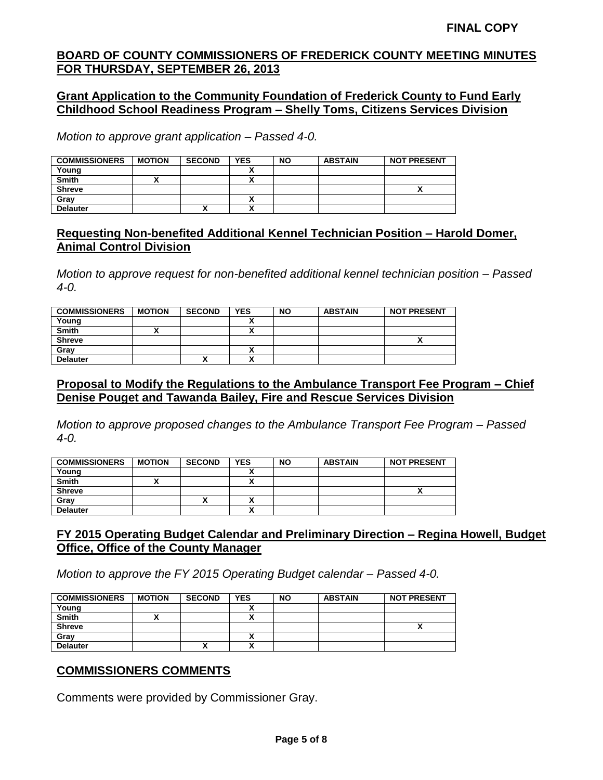#### **Grant Application to the Community Foundation of Frederick County to Fund Early Childhood School Readiness Program – Shelly Toms, Citizens Services Division**

*Motion to approve grant application – Passed 4-0.*

| <b>COMMISSIONERS</b> | <b>MOTION</b> | <b>SECOND</b> | <b>YES</b> | <b>NO</b> | <b>ABSTAIN</b> | <b>NOT PRESENT</b> |
|----------------------|---------------|---------------|------------|-----------|----------------|--------------------|
| Young                |               |               |            |           |                |                    |
| <b>Smith</b>         |               |               |            |           |                |                    |
| <b>Shreve</b>        |               |               |            |           |                |                    |
| Grav                 |               |               |            |           |                |                    |
| <b>Delauter</b>      |               | ,,            |            |           |                |                    |

# **Requesting Non-benefited Additional Kennel Technician Position – Harold Domer, Animal Control Division**

*Motion to approve request for non-benefited additional kennel technician position – Passed 4-0.*

| <b>COMMISSIONERS</b> | <b>MOTION</b> | <b>SECOND</b> | <b>YES</b>               | <b>NO</b> | <b>ABSTAIN</b> | <b>NOT PRESENT</b> |
|----------------------|---------------|---------------|--------------------------|-----------|----------------|--------------------|
| Young                |               |               |                          |           |                |                    |
| <b>Smith</b>         |               |               | $\overline{\phantom{a}}$ |           |                |                    |
| <b>Shreve</b>        |               |               |                          |           |                | ,,                 |
| Gray                 |               |               | $\overline{\phantom{a}}$ |           |                |                    |
| <b>Delauter</b>      |               |               |                          |           |                |                    |

# **Proposal to Modify the Regulations to the Ambulance Transport Fee Program – Chief Denise Pouget and Tawanda Bailey, Fire and Rescue Services Division**

*Motion to approve proposed changes to the Ambulance Transport Fee Program – Passed 4-0.*

| <b>COMMISSIONERS</b> | <b>MOTION</b> | <b>SECOND</b> | <b>YES</b>               | <b>NO</b> | <b>ABSTAIN</b> | <b>NOT PRESENT</b> |
|----------------------|---------------|---------------|--------------------------|-----------|----------------|--------------------|
| Young                |               |               |                          |           |                |                    |
| <b>Smith</b>         |               |               | $\mathbf{r}$             |           |                |                    |
| <b>Shreve</b>        |               |               |                          |           |                |                    |
| Gray                 |               | '             | $\overline{\phantom{a}}$ |           |                |                    |
| <b>Delauter</b>      |               |               |                          |           |                |                    |

# **FY 2015 Operating Budget Calendar and Preliminary Direction – Regina Howell, Budget Office, Office of the County Manager**

*Motion to approve the FY 2015 Operating Budget calendar – Passed 4-0.*

| <b>COMMISSIONERS</b> | <b>MOTION</b> | <b>SECOND</b> | <b>YES</b> | <b>NO</b> | <b>ABSTAIN</b> | <b>NOT PRESENT</b> |
|----------------------|---------------|---------------|------------|-----------|----------------|--------------------|
| Young                |               |               |            |           |                |                    |
| <b>Smith</b>         |               |               |            |           |                |                    |
| <b>Shreve</b>        |               |               |            |           |                |                    |
| Gray                 |               |               |            |           |                |                    |
| <b>Delauter</b>      |               |               |            |           |                |                    |

# **COMMISSIONERS COMMENTS**

Comments were provided by Commissioner Gray.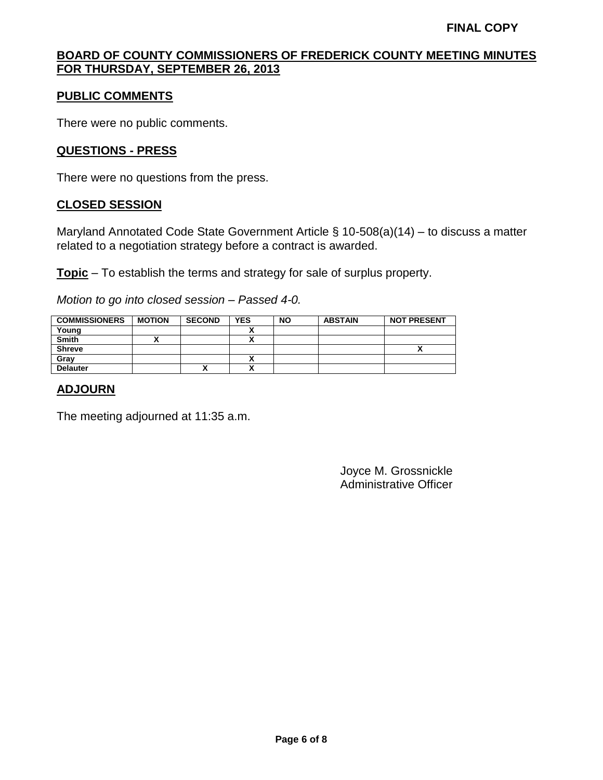#### **PUBLIC COMMENTS**

There were no public comments.

#### **QUESTIONS - PRESS**

There were no questions from the press.

#### **CLOSED SESSION**

Maryland Annotated Code State Government Article § 10-508(a)(14) – to discuss a matter related to a negotiation strategy before a contract is awarded.

**Topic** – To establish the terms and strategy for sale of surplus property.

*Motion to go into closed session – Passed 4-0.*

| <b>COMMISSIONERS</b> | <b>MOTION</b> | <b>SECOND</b> | <b>YES</b>   | <b>NO</b> | <b>ABSTAIN</b> | <b>NOT PRESENT</b> |
|----------------------|---------------|---------------|--------------|-----------|----------------|--------------------|
| Young                |               |               | $\mathbf{v}$ |           |                |                    |
| <b>Smith</b>         |               |               |              |           |                |                    |
| <b>Shreve</b>        |               |               |              |           |                |                    |
| Grav                 |               |               | A            |           |                |                    |
| <b>Delauter</b>      |               | Λ             | ↗            |           |                |                    |

#### **ADJOURN**

The meeting adjourned at 11:35 a.m.

Joyce M. Grossnickle Administrative Officer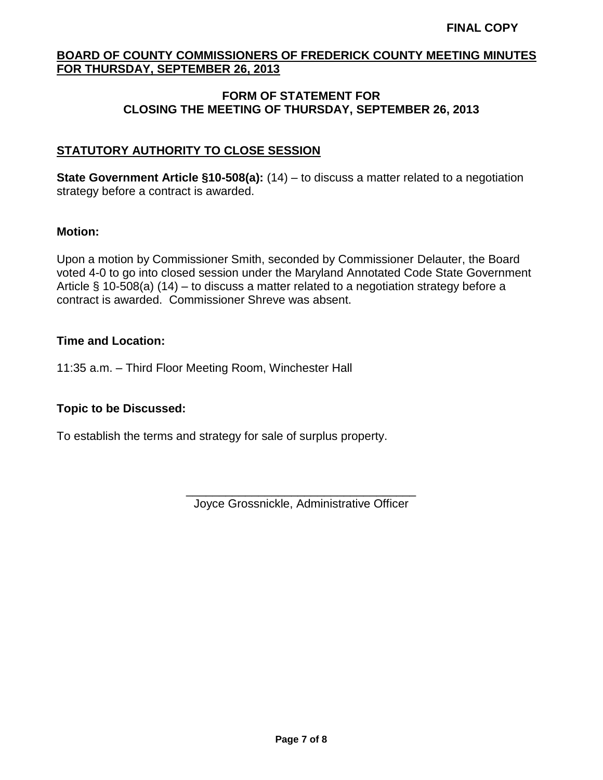# **FORM OF STATEMENT FOR CLOSING THE MEETING OF THURSDAY, SEPTEMBER 26, 2013**

# **STATUTORY AUTHORITY TO CLOSE SESSION**

**State Government Article §10-508(a):** (14) – to discuss a matter related to a negotiation strategy before a contract is awarded.

#### **Motion:**

Upon a motion by Commissioner Smith, seconded by Commissioner Delauter, the Board voted 4-0 to go into closed session under the Maryland Annotated Code State Government Article § 10-508(a) (14) – to discuss a matter related to a negotiation strategy before a contract is awarded. Commissioner Shreve was absent.

# **Time and Location:**

11:35 a.m. – Third Floor Meeting Room, Winchester Hall

# **Topic to be Discussed:**

To establish the terms and strategy for sale of surplus property.

\_\_\_\_\_\_\_\_\_\_\_\_\_\_\_\_\_\_\_\_\_\_\_\_\_\_\_\_\_\_\_\_\_\_\_ Joyce Grossnickle, Administrative Officer